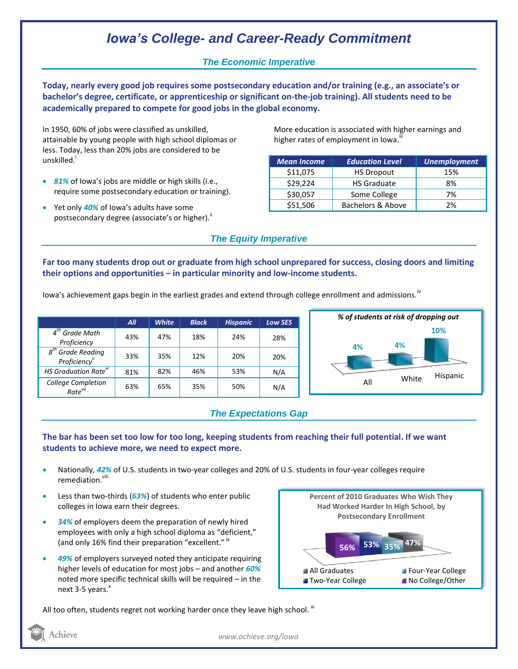# *Iowa's College- and Career-Ready Commitment*

### *The Economic Imperative*

**Today, nearly every good job requires some postsecondary education and/or training (e.g., an associate's or bachelor's degree, certificate, or apprenticeship or significant on-the-job training). All students need to be academically prepared to compete for good jobs in the global economy.**

In 1950, 60% of jobs were classified as unskilled, attainable by young people with high school diplomas or less. Today, less than 20% jobs are considered to be unskilled.<sup>1</sup>

- *81%* of Iowa's jobs are middle or high skills (i.e., require some postsecondary education or training).
- Yet only *40%* of Iowa's adults have some postsecondary degree (associate's or higher).<sup>ii</sup>

More education is associated with higher earnings and higher rates of employment in Iowa.<sup>iii</sup>

| <b>Mean Income</b> | <b>Education Level</b> | <b>Unemployment</b> |
|--------------------|------------------------|---------------------|
| \$11,075           | <b>HS Dropout</b>      | 15%                 |
| \$29,224           | <b>HS Graduate</b>     | 8%                  |
| \$30,057           | Some College           | 7%                  |
| \$51,506           | Bachelors & Above      | 2%                  |

### *The Equity Imperative*

**Far too many students drop out or graduate from high school unprepared for success, closing doors and limiting their options and opportunities – in particular minority and low-income students.** 

Iowa's achievement gaps begin in the earliest grades and extend through college enrollment and admissions.<sup>17</sup>

|                                                                    | All | <b>White</b> | <b>Black</b> | <b>Hispanic</b> | <b>Low SES</b> |
|--------------------------------------------------------------------|-----|--------------|--------------|-----------------|----------------|
| $4th$ Grade Math<br>Proficiency                                    | 43% | 47%          | 18%          | 24%             | 28%            |
| $g^{th}$<br><sup>'</sup> Grade Reading<br>Proficiency <sup>v</sup> | 33% | 35%          | 12%          | 20%             | 20%            |
| HS Graduation Rate <sup>vi</sup>                                   | 81% | 82%          | 46%          | 53%             | N/A            |
| College Completion<br>Rate <sup>vii</sup>                          | 63% | 65%          | 35%          | 50%             | N/A            |



## *The Expectations Gap*

#### **The bar has been set too low for too long, keeping students from reaching their full potential. If we want students to achieve more, we need to expect more.**

- Nationally, *42%* of U.S. students in two-year colleges and 20% of U.S. students in four-year colleges require remediation.<sup>viii</sup>
- Less than two-thirds (*63%*) of students who enter public colleges in Iowa earn their degrees.
- *34%* of employers deem the preparation of newly hired employees with only a high school diploma as "deficient," (and only 16% find their preparation "excellent." Ix
- *49%* of employers surveyed noted they anticipate requiring higher levels of education for most jobs – and another *60%* noted more specific technical skills will be required – in the next 3-5 years.<sup>x</sup>



All too often, students regret not working harder once they leave high school.  $^{xi}$ 

Achieve

*www.achieve.org/Iowa*